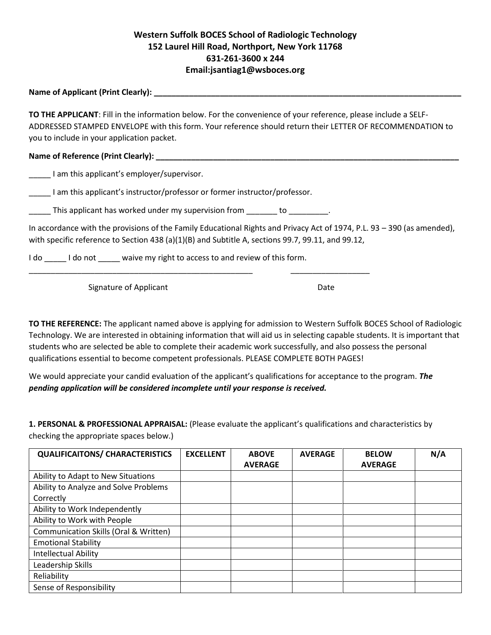## **Western Suffolk BOCES School of Radiologic Technology 152 Laurel Hill Road, Northport, New York 11768 631-261-3600 x 244 Email:jsantiag1@wsboces.org**

**Name of Applicant (Print Clearly): \_\_\_\_\_\_\_\_\_\_\_\_\_\_\_\_\_\_\_\_\_\_\_\_\_\_\_\_\_\_\_\_\_\_\_\_\_\_\_\_\_\_\_\_\_\_\_\_\_\_\_\_\_\_\_\_\_\_\_\_\_\_\_\_\_\_\_\_\_\_** 

**TO THE APPLICANT**: Fill in the information below. For the convenience of your reference, please include a SELF-ADDRESSED STAMPED ENVELOPE with this form. Your reference should return their LETTER OF RECOMMENDATION to you to include in your application packet.

Name of Reference (Print Clearly):

\_\_\_\_\_ I am this applicant's employer/supervisor.

I am this applicant's instructor/professor or former instructor/professor.

\_\_\_\_\_ This applicant has worked under my supervision from \_\_\_\_\_\_\_ to \_\_\_\_\_\_\_\_\_.

\_\_\_\_\_\_\_\_\_\_\_\_\_\_\_\_\_\_\_\_\_\_\_\_\_\_\_\_\_\_\_\_\_\_\_\_\_\_\_\_\_\_\_\_\_\_\_\_\_\_\_ \_\_\_\_\_\_\_\_\_\_\_\_\_\_\_\_\_\_

In accordance with the provisions of the Family Educational Rights and Privacy Act of 1974, P.L. 93 – 390 (as amended), with specific reference to Section 438 (a)(1)(B) and Subtitle A, sections 99.7, 99.11, and 99.12,

I do loculated a loculate waive my right to access to and review of this form.

Signature of Applicant Date Date Date

**TO THE REFERENCE:** The applicant named above is applying for admission to Western Suffolk BOCES School of Radiologic Technology. We are interested in obtaining information that will aid us in selecting capable students. It is important that students who are selected be able to complete their academic work successfully, and also possess the personal qualifications essential to become competent professionals. PLEASE COMPLETE BOTH PAGES!

We would appreciate your candid evaluation of the applicant's qualifications for acceptance to the program. *The pending application will be considered incomplete until your response is received.* 

**1. PERSONAL & PROFESSIONAL APPRAISAL:** (Please evaluate the applicant's qualifications and characteristics by checking the appropriate spaces below.)

| <b>QUALIFICAITONS/ CHARACTERISTICS</b> | <b>EXCELLENT</b> | <b>ABOVE</b><br><b>AVERAGE</b> | <b>AVERAGE</b> | <b>BELOW</b><br><b>AVERAGE</b> | N/A |
|----------------------------------------|------------------|--------------------------------|----------------|--------------------------------|-----|
| Ability to Adapt to New Situations     |                  |                                |                |                                |     |
| Ability to Analyze and Solve Problems  |                  |                                |                |                                |     |
| Correctly                              |                  |                                |                |                                |     |
| Ability to Work Independently          |                  |                                |                |                                |     |
| Ability to Work with People            |                  |                                |                |                                |     |
| Communication Skills (Oral & Written)  |                  |                                |                |                                |     |
| <b>Emotional Stability</b>             |                  |                                |                |                                |     |
| <b>Intellectual Ability</b>            |                  |                                |                |                                |     |
| Leadership Skills                      |                  |                                |                |                                |     |
| Reliability                            |                  |                                |                |                                |     |
| Sense of Responsibility                |                  |                                |                |                                |     |